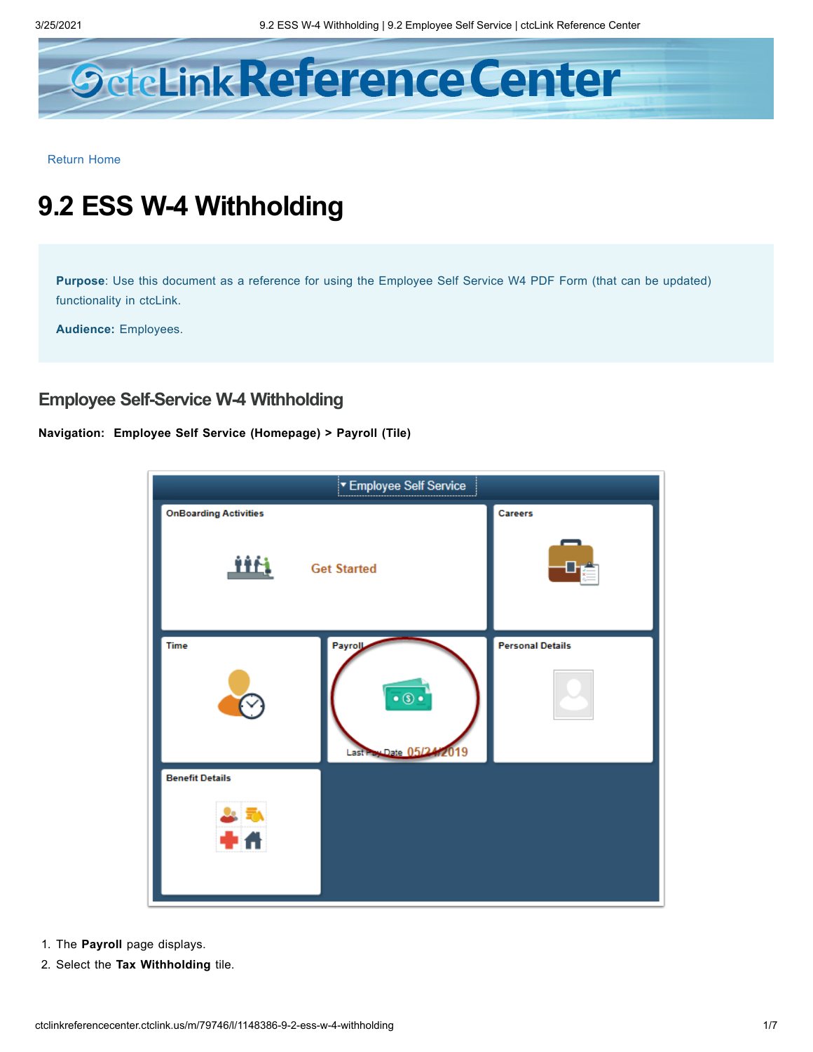

[Return](http://ctclinkreferencecenter.ctclink.us/) Home

## **9.2 ESS W-4 Withholding**

**Purpose**: Use this document as a reference for using the Employee Self Service W4 PDF Form (that can be updated) functionality in ctcLink.

**Audience:** Employees.

## **Employee Self-Service W-4 Withholding**

## **Navigation: Employee Self Service (Homepage) > Payroll (Tile)**



- 1. The **Payroll** page displays.
- 2. Select the **Tax Withholding** tile.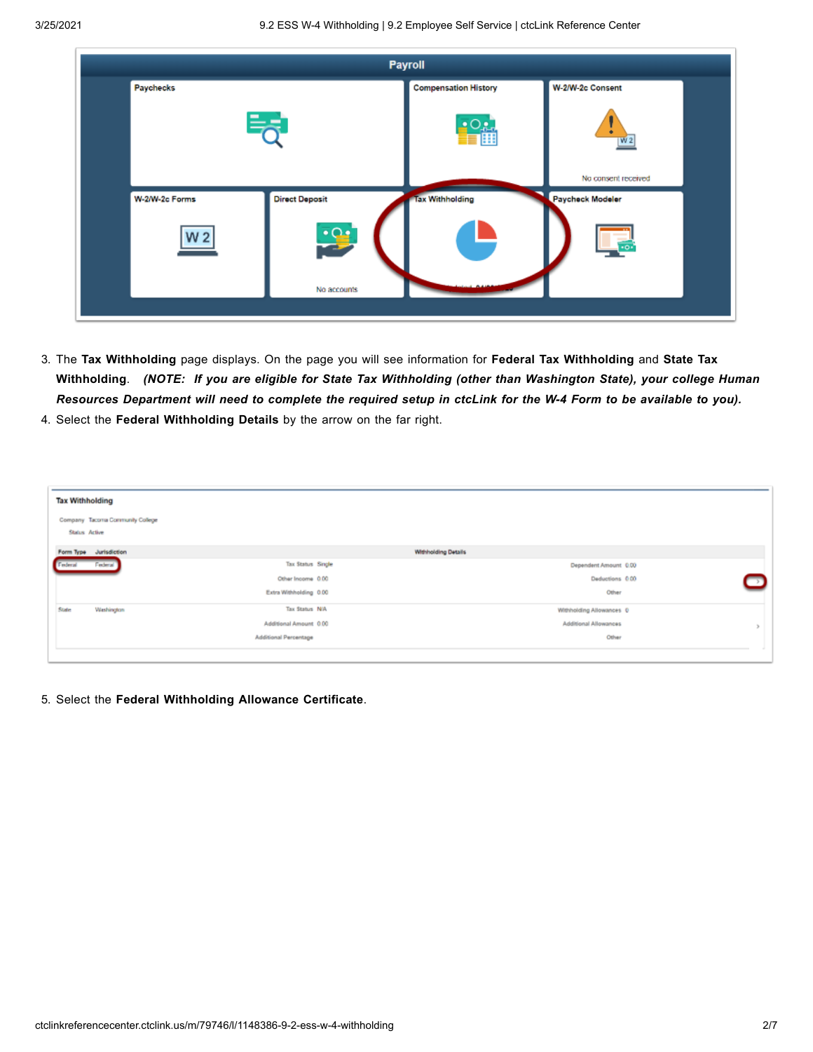

- 3. The **Tax Withholding** page displays. On the page you will see information for **Federal Tax Withholding** and **State Tax** Withholding. (NOTE: If you are eligible for State Tax Withholding (other than Washington State), your college Human Resources Department will need to complete the required setup in ctcLink for the W-4 Form to be available to you).
- 4. Select the **Federal Withholding Details** by the arrow on the far right.

| <b>Tax Withholding</b> |                                                          |                        |                            |               |
|------------------------|----------------------------------------------------------|------------------------|----------------------------|---------------|
|                        | Company Tacoma Community College<br><b>Status Active</b> |                        |                            |               |
|                        | Form Type Jurisdiction                                   |                        | <b>Withholding Details</b> |               |
| Federal                | Federal                                                  | Tax Status Single      | Dependent Amount 0.00      |               |
|                        |                                                          | Other Income 0.00      | Deductions 0.00            | ⇁             |
|                        |                                                          | Extra Withholding 0.00 | Other                      |               |
| State                  | Washington                                               | Tax Status N/A         | Withholding Allowances 0   |               |
|                        |                                                          | Additional Amount 0.00 | Additional Allowances      | $\mathcal{P}$ |
|                        |                                                          | Additional Percentage  | Other                      |               |
|                        |                                                          |                        |                            |               |

5. Select the **Federal Withholding Allowance Certificate**.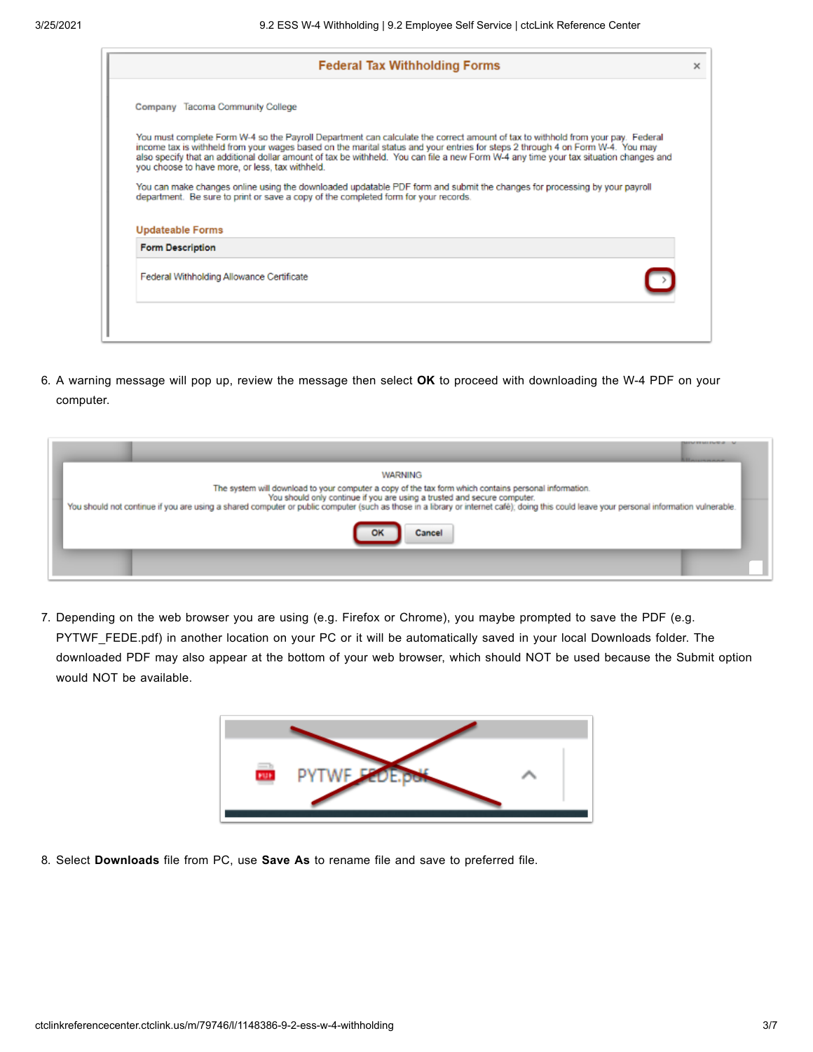|                                                    | <b>Federal Tax Withholding Forms</b>                                                                                                                                                                                                                                                                                                                                                                       |
|----------------------------------------------------|------------------------------------------------------------------------------------------------------------------------------------------------------------------------------------------------------------------------------------------------------------------------------------------------------------------------------------------------------------------------------------------------------------|
| Company Tacoma Community College                   |                                                                                                                                                                                                                                                                                                                                                                                                            |
| you choose to have more, or less, tax withheld.    | You must complete Form W-4 so the Payroll Department can calculate the correct amount of tax to withhold from your pay. Federal<br>income tax is withheld from your wages based on the marital status and your entries for steps 2 through 4 on Form W-4. You may<br>also specify that an additional dollar amount of tax be withheld. You can file a new Form W-4 any time your tax situation changes and |
|                                                    | You can make changes online using the downloaded updatable PDF form and submit the changes for processing by your payroll<br>department. Be sure to print or save a copy of the completed form for your records.                                                                                                                                                                                           |
|                                                    |                                                                                                                                                                                                                                                                                                                                                                                                            |
| <b>Updateable Forms</b><br><b>Form Description</b> |                                                                                                                                                                                                                                                                                                                                                                                                            |
| Federal Withholding Allowance Certificate          |                                                                                                                                                                                                                                                                                                                                                                                                            |

6. A warning message will pop up, review the message then select **OK** to proceed with downloading the W-4 PDF on your computer.

| <b>A. H. ALLIN HANDLE</b>                                                                                                                                                                                                                                                                                                                                                                        |  |
|--------------------------------------------------------------------------------------------------------------------------------------------------------------------------------------------------------------------------------------------------------------------------------------------------------------------------------------------------------------------------------------------------|--|
| <b>WARNING</b><br>The system will download to your computer a copy of the tax form which contains personal information.<br>You should only continue if you are using a trusted and secure computer.<br>You should not continue if you are using a shared computer or public computer (such as those in a library or internet café); doing this could leave your personal information vulnerable. |  |
|                                                                                                                                                                                                                                                                                                                                                                                                  |  |

7. Depending on the web browser you are using (e.g. Firefox or Chrome), you maybe prompted to save the PDF (e.g. PYTWF\_FEDE.pdf) in another location on your PC or it will be automatically saved in your local Downloads folder. The downloaded PDF may also appear at the bottom of your web browser, which should NOT be used because the Submit option would NOT be available.



8. Select **Downloads** file from PC, use **Save As** to rename file and save to preferred file.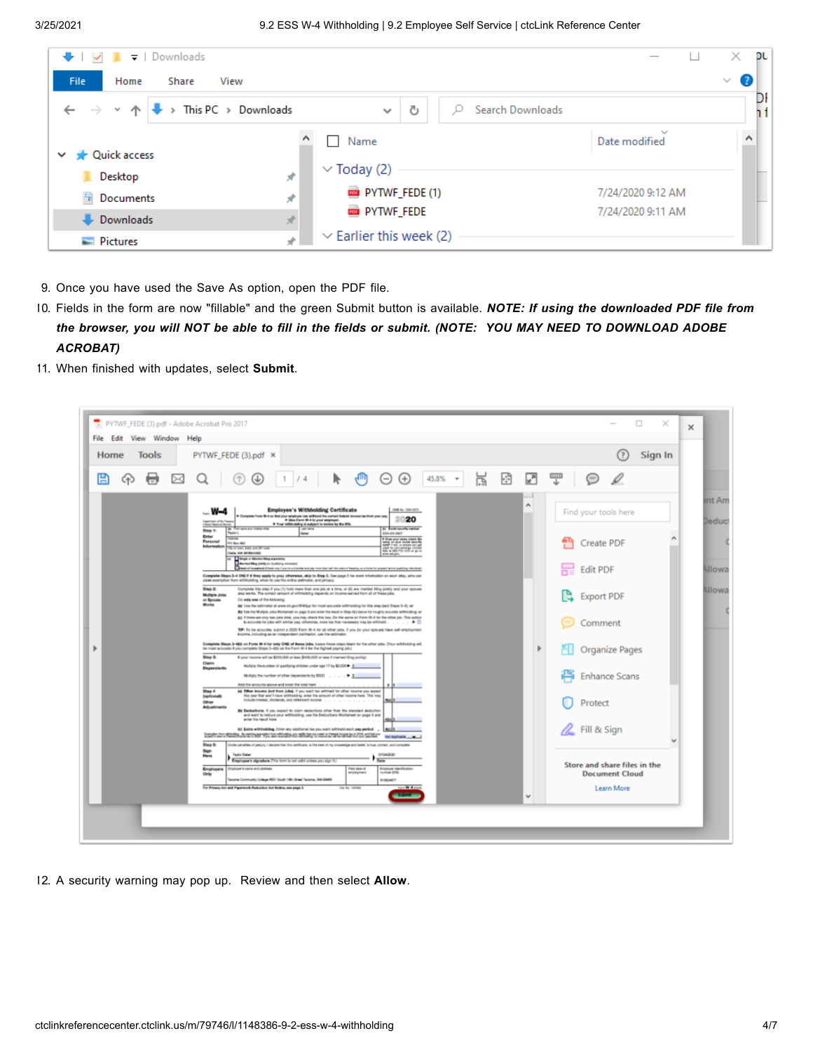| $\bullet$ $\bullet$ $\bullet$ $\bullet$ $\bullet$ $\bullet$ Downloads |                                  |                                              | ×<br>DU           |
|-----------------------------------------------------------------------|----------------------------------|----------------------------------------------|-------------------|
| File<br>Home<br>Share<br>View                                         |                                  |                                              | €<br>$\checkmark$ |
| This PC > Downloads<br>$\leftarrow$ $\rightarrow$ $\rightarrow$       | Ō<br>Search Downloads<br>$\sim$  |                                              | DI                |
| Quick access<br>$\checkmark$                                          | Name<br>$\overline{\phantom{a}}$ | $\mathcal{N}_{\mathcal{A}}$<br>Date modified | $\lambda$         |
| À<br>Desktop                                                          | $\vee$ Today (2)                 |                                              |                   |
| <b>Documents</b><br>À                                                 | <b>EXECUTIVE</b> FEDE (1)        | 7/24/2020 9:12 AM                            |                   |
| <b>Downloads</b><br>À                                                 | <b>EXPIRITIVE</b> FEDE           | 7/24/2020 9:11 AM                            |                   |
| $\blacksquare$ Pictures<br>₫                                          | $\vee$ Earlier this week (2)     |                                              |                   |

- 9. Once you have used the Save As option, open the PDF file.
- 10. Fields in the form are now "fillable" and the green Submit button is available. *NOTE: If using the downloaded PDF file from* the browser, you will NOT be able to fill in the fields or submit. (NOTE: YOU MAY NEED TO DOWNLOAD ADOBE *ACROBAT)*
- 11. When finished with updates, select **Submit**.



12. A security warning may pop up. Review and then select **Allow**.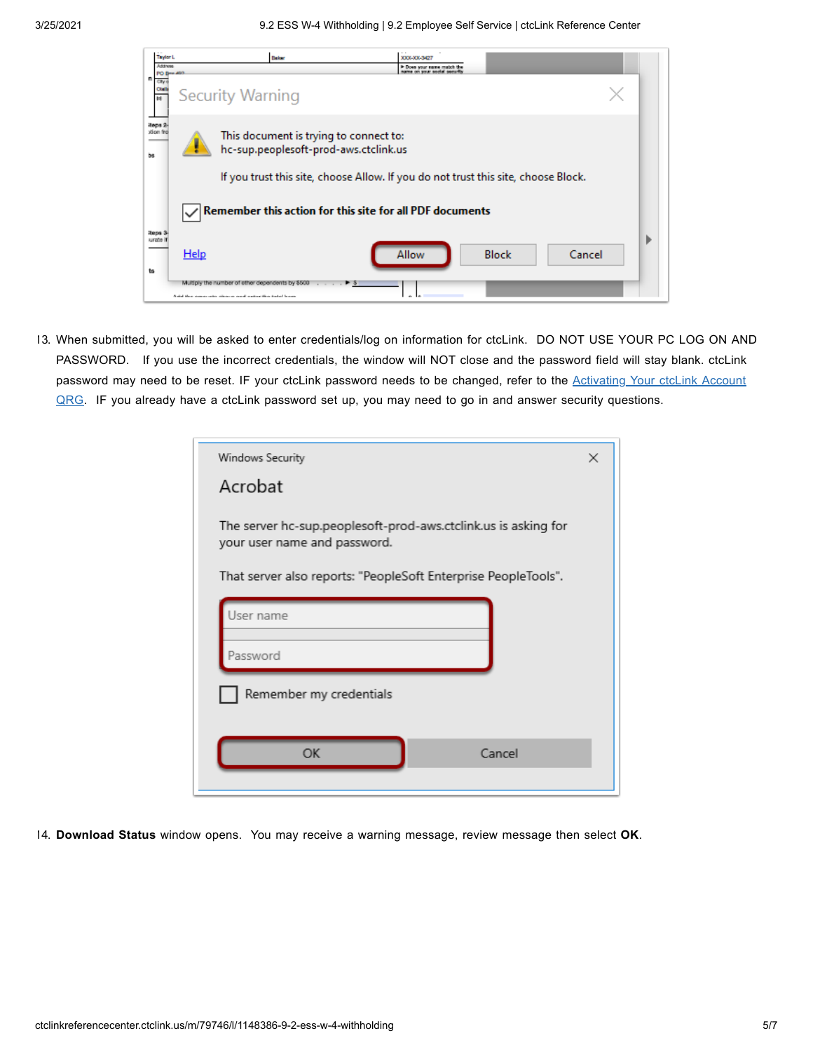|    | <b>Taylor L</b><br>Address |      | Baker                                                                                                                               | <b>XXX-XX-3427</b>          |              |             |
|----|----------------------------|------|-------------------------------------------------------------------------------------------------------------------------------------|-----------------------------|--------------|-------------|
| n  | PO Bry 400<br>City         |      | <b>Security Warning</b>                                                                                                             | In Does your name match the |              |             |
|    |                            |      |                                                                                                                                     |                             |              |             |
| bs | iteps 2<br>xlion fro       |      | This document is trying to connect to:<br>hc-sup.peoplesoft-prod-aws.ctclink.us                                                     |                             |              |             |
|    |                            |      | If you trust this site, choose Allow. If you do not trust this site, choose Block.                                                  |                             |              |             |
|    |                            |      | Remember this action for this site for all PDF documents                                                                            |                             |              |             |
| ts | iteps 3<br>urate           | Help |                                                                                                                                     | Allow                       | <b>Block</b> | D<br>Cancel |
|    |                            |      | Multiply the number of other dependents by \$500<br>$1 - 1 - 1 - 1$<br>A did then comparates when an owed wedged that today because |                             |              |             |

13. When submitted, you will be asked to enter credentials/log on information for ctcLink. DO NOT USE YOUR PC LOG ON AND PASSWORD. If you use the incorrect credentials, the window will NOT close and the password field will stay blank. ctcLink password may need to be reset. IF your ctcLink password needs to be changed, refer to the **Activating Your ctcLink Account** QRG. IF you already have a ctcLink password set up, you may need to go in and answer security [questions.](http://ctclinkreferencecenter.ctclink.us/m/79750/l/1013111-9-2-activating-your-ctclink-account)

| Windows Security<br>Acrobat                                                                    | × |
|------------------------------------------------------------------------------------------------|---|
| The server hc-sup.peoplesoft-prod-aws.ctclink.us is asking for<br>your user name and password. |   |
| That server also reports: "PeopleSoft Enterprise PeopleTools".                                 |   |
| User name                                                                                      |   |
| Password                                                                                       |   |
| Remember my credentials                                                                        |   |
| OK<br>Cancel                                                                                   |   |

14. **Download Status** window opens. You may receive a warning message, review message then select **OK**.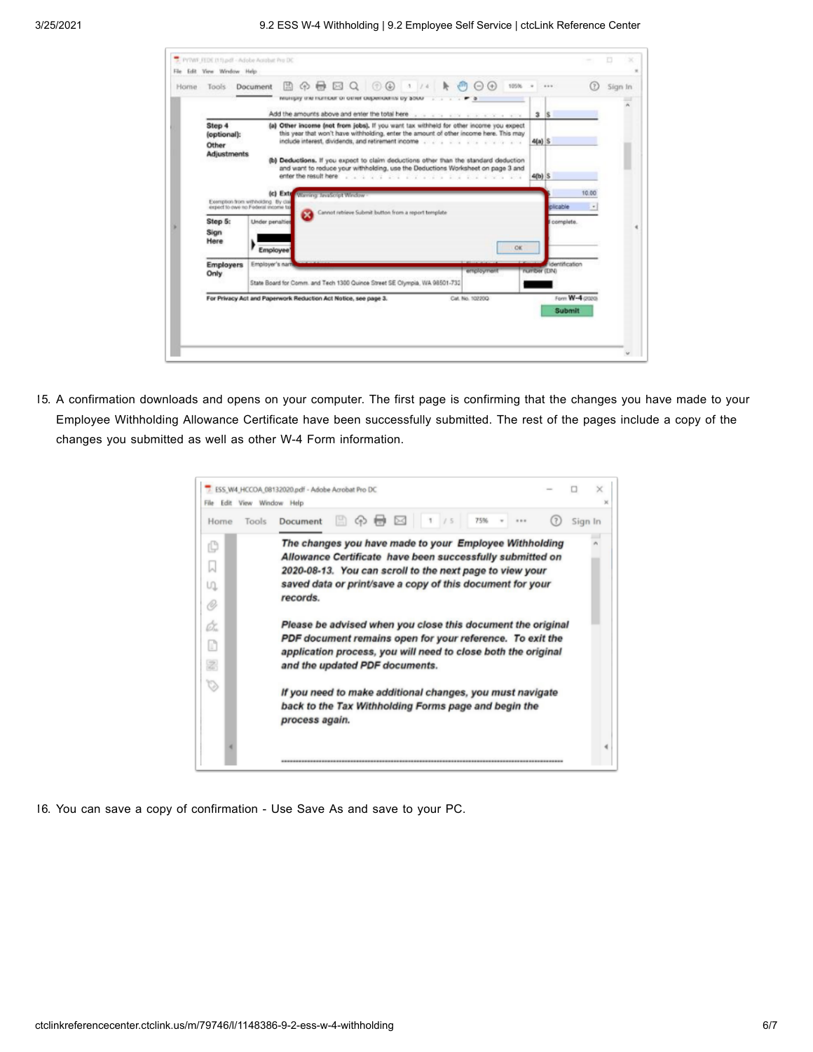| Home | Tools                                                | $\Box \Leftrightarrow \Box \Box \lhd \lhd \lhd \lhd \lnot \lhd \lhd \lnot$<br><b>Audit</b><br>$^{(+)}$<br>105%<br>Document<br>$(-)$<br>мощру им патоего отни окрепомну ру зооо                                                                                                                                                                                                  |              |                 | (7)         | Sign In |
|------|------------------------------------------------------|---------------------------------------------------------------------------------------------------------------------------------------------------------------------------------------------------------------------------------------------------------------------------------------------------------------------------------------------------------------------------------|--------------|-----------------|-------------|---------|
|      |                                                      | Add the amounts above and enter the total here was a subsequence of a series of the                                                                                                                                                                                                                                                                                             | 3S           |                 |             |         |
|      | Step 4<br>(optional):<br>Other<br><b>Adjustments</b> | (a) Other income (not from jobs). If you want tax withheld for other income you expect<br>this year that won't have withholding, enter the amount of other income here. This may<br>include interest, dividends, and retirement income process and process and contact to the contact of<br>(b) Deductions. If you expect to claim deductions other than the standard deduction | $4(n)$ S     |                 |             |         |
|      |                                                      | and want to reduce your withholding, use the Deductions Worksheet on page 3 and<br>enter the result here is a signal and a signal of the result of the result of the result of the result of the result of the result of the result of the result of the result of the result of the result of the result of the                                                                | $4(b)$ S     |                 |             |         |
|      |                                                      | (c) Exte<br><b>Manufacturer School Warehouse</b><br>Exemption from withholding. By clair<br>expect to owe no Federal shoppe to<br>Cannot rebieve Submit button from a report template                                                                                                                                                                                           |              | plicable        | 10.00<br>n. |         |
|      | Step 5:<br>Sign<br>Here                              | <b>Under penalties</b><br><b>OK</b><br>Employee                                                                                                                                                                                                                                                                                                                                 |              | complete.       |             |         |
|      | <b>Employers</b><br>Only                             | Employer's nart<br>employment<br>State Board for Comm. and Tech 1300 Quince Street SE Clympia, WA 98501-732                                                                                                                                                                                                                                                                     | number (EIN) | dentification   |             |         |
|      |                                                      | For Privacy Act and Paperwork Reduction Act Notice, see page 3.<br>Cat. No. 10220Q.                                                                                                                                                                                                                                                                                             |              | Form W-4 (2020) |             |         |

15. A confirmation downloads and opens on your computer. The first page is confirming that the changes you have made to your Employee Withholding Allowance Certificate have been successfully submitted. The rest of the pages include a copy of the changes you submitted as well as other W-4 Form information.

| Home<br>Tools     | 75%<br>Document                                                                                                                                                                                                                                          | Sign In |
|-------------------|----------------------------------------------------------------------------------------------------------------------------------------------------------------------------------------------------------------------------------------------------------|---------|
| ¢<br>Ω<br>U)      | The changes you have made to your Employee Withholding<br>Allowance Certificate have been successfully submitted on<br>2020-08-13. You can scroll to the next page to view your<br>saved data or print/save a copy of this document for your<br>records. |         |
| O<br>ó.<br>n<br>累 | Please be advised when you close this document the original<br>PDF document remains open for your reference. To exit the<br>application process, you will need to close both the original<br>and the updated PDF documents.                              |         |
| Ó                 | If you need to make additional changes, you must navigate<br>back to the Tax Withholding Forms page and begin the                                                                                                                                        |         |

16. You can save a copy of confirmation - Use Save As and save to your PC.